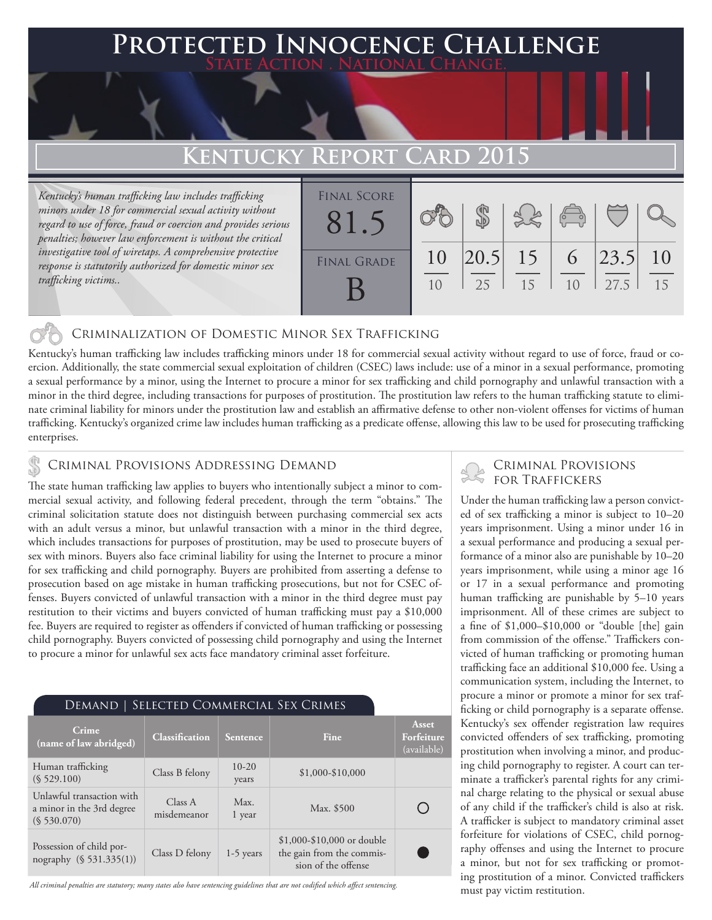### **FED INNOCENCE CHALLENGE State Action . National Change.**

### Kentucky Report Card

*Kentucky's human trafficking law includes trafficking minors under 18 for commercial sexual activity without regard to use of force, fraud or coercion and provides serious penalties; however law enforcement is without the critical investigative tool of wiretaps. A comprehensive protective response is statutorily authorized for domestic minor sex trafficking victims..* 

| <b>FINAL SCORE</b><br>81. |    |             |    | $\sqrt{2}$ |      |    |
|---------------------------|----|-------------|----|------------|------|----|
| <b>FINAL GRADE</b>        | 10 | $ 20.5 $ 15 |    | 6          | 23.5 | 10 |
|                           | 10 | 25          | 15 | 10         | 27.5 | 15 |

#### Criminalization of Domestic Minor Sex Trafficking

Kentucky's human trafficking law includes trafficking minors under 18 for commercial sexual activity without regard to use of force, fraud or coercion. Additionally, the state commercial sexual exploitation of children (CSEC) laws include: use of a minor in a sexual performance, promoting a sexual performance by a minor, using the Internet to procure a minor for sex trafficking and child pornography and unlawful transaction with a minor in the third degree, including transactions for purposes of prostitution. The prostitution law refers to the human trafficking statute to eliminate criminal liability for minors under the prostitution law and establish an affirmative defense to other non-violent offenses for victims of human trafficking. Kentucky's organized crime law includes human trafficking as a predicate offense, allowing this law to be used for prosecuting trafficking enterprises.

## CRIMINAL PROVISIONS ADDRESSING DEMAND<br>FOR TRAFFICKERS **FOR TRAFFICKERS**

The state human trafficking law applies to buyers who intentionally subject a minor to commercial sexual activity, and following federal precedent, through the term "obtains." The criminal solicitation statute does not distinguish between purchasing commercial sex acts with an adult versus a minor, but unlawful transaction with a minor in the third degree, which includes transactions for purposes of prostitution, may be used to prosecute buyers of sex with minors. Buyers also face criminal liability for using the Internet to procure a minor for sex trafficking and child pornography. Buyers are prohibited from asserting a defense to prosecution based on age mistake in human trafficking prosecutions, but not for CSEC offenses. Buyers convicted of unlawful transaction with a minor in the third degree must pay restitution to their victims and buyers convicted of human trafficking must pay a \$10,000 fee. Buyers are required to register as offenders if convicted of human trafficking or possessing child pornography. Buyers convicted of possessing child pornography and using the Internet to procure a minor for unlawful sex acts face mandatory criminal asset forfeiture.

#### Demand | Selected Commercial Sex Crimes

| Crime<br>(name of law abridged)                                       | <b>Classification</b>  | <b>Sentence</b>    | Fine                                                                           | Asset<br>Forfeiture<br>(available) |
|-----------------------------------------------------------------------|------------------------|--------------------|--------------------------------------------------------------------------------|------------------------------------|
| Human trafficking<br>(S 529.100)                                      | Class B felony         | $10 - 20$<br>years | $$1,000-S10,000$                                                               |                                    |
| Unlawful transaction with<br>a minor in the 3rd degree<br>(S 530.070) | Class A<br>misdemeanor | Max.<br>1 year     | Max. \$500                                                                     |                                    |
| Possession of child por-<br>nography (§ 531.335(1))                   | Class D felony         | $1-5$ years        | \$1,000-\$10,000 or double<br>the gain from the commis-<br>sion of the offense |                                    |

*All criminal penalties are statutory; many states also have sentencing guidelines that are not codified which affect sentencing.* 

# Criminal Provisions

Under the human trafficking law a person convicted of sex trafficking a minor is subject to 10–20 years imprisonment. Using a minor under 16 in a sexual performance and producing a sexual performance of a minor also are punishable by 10–20 years imprisonment, while using a minor age 16 or 17 in a sexual performance and promoting human trafficking are punishable by 5–10 years imprisonment. All of these crimes are subject to a fine of \$1,000–\$10,000 or "double [the] gain from commission of the offense." Traffickers convicted of human trafficking or promoting human trafficking face an additional \$10,000 fee. Using a communication system, including the Internet, to procure a minor or promote a minor for sex trafficking or child pornography is a separate offense. Kentucky's sex offender registration law requires convicted offenders of sex trafficking, promoting prostitution when involving a minor, and producing child pornography to register. A court can terminate a trafficker's parental rights for any criminal charge relating to the physical or sexual abuse of any child if the trafficker's child is also at risk. A trafficker is subject to mandatory criminal asset forfeiture for violations of CSEC, child pornography offenses and using the Internet to procure a minor, but not for sex trafficking or promoting prostitution of a minor. Convicted traffickers must pay victim restitution.